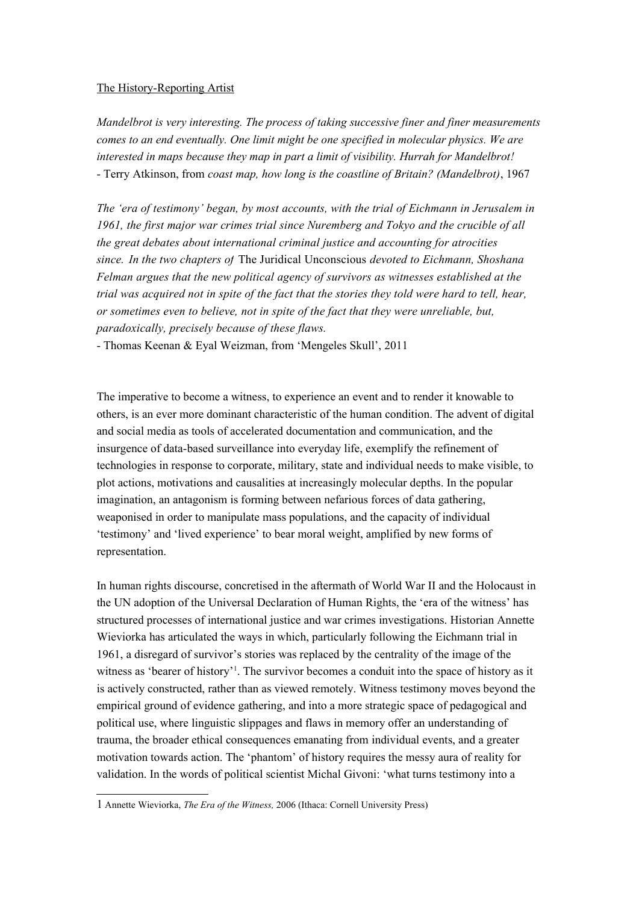## The History-Reporting Artist

*Mandelbrot is very interesting. The process of taking successive finer and finer measurements comes to an end eventually. One limit might be one specified in molecular physics. We are interested in maps because they map in part a limit of visibility. Hurrah for Mandelbrot!*  - Terry Atkinson, from *coast map, how long is the coastline of Britain? (Mandelbrot)*, 1967

*The 'era of testimony' began, by most accounts, with the trial of Eichmann in Jerusalem in 1961, the first major war crimes trial since Nuremberg and Tokyo and the crucible of all the great debates about international criminal justice and accounting for atrocities since. In the two chapters of* The Juridical Unconscious *devoted to Eichmann, Shoshana Felman argues that the new political agency of survivors as witnesses established at the trial was acquired not in spite of the fact that the stories they told were hard to tell, hear, or sometimes even to believe, not in spite of the fact that they were unreliable, but, paradoxically, precisely because of these flaws.*

- Thomas Keenan & Eyal Weizman, from 'Mengeles Skull', 2011

The imperative to become a witness, to experience an event and to render it knowable to others, is an ever more dominant characteristic of the human condition. The advent of digital and social media as tools of accelerated documentation and communication, and the insurgence of data-based surveillance into everyday life, exemplify the refinement of technologies in response to corporate, military, state and individual needs to make visible, to plot actions, motivations and causalities at increasingly molecular depths. In the popular imagination, an antagonism is forming between nefarious forces of data gathering, weaponised in order to manipulate mass populations, and the capacity of individual 'testimony' and 'lived experience' to bear moral weight, amplified by new forms of representation.

In human rights discourse, concretised in the aftermath of World War II and the Holocaust in the UN adoption of the Universal Declaration of Human Rights, the 'era of the witness' has structured processes of international justice and war crimes investigations. Historian Annette Wieviorka has articulated the ways in which, particularly following the Eichmann trial in 1961, a disregard of survivor's stories was replaced by the centrality of the image of the witness as 'bearer of history'<sup>[1](#page-0-0)</sup>. The survivor becomes a conduit into the space of history as it is actively constructed, rather than as viewed remotely. Witness testimony moves beyond the empirical ground of evidence gathering, and into a more strategic space of pedagogical and political use, where linguistic slippages and flaws in memory offer an understanding of trauma, the broader ethical consequences emanating from individual events, and a greater motivation towards action. The 'phantom' of history requires the messy aura of reality for validation. In the words of political scientist Michal Givoni: 'what turns testimony into a

<span id="page-0-0"></span><sup>1</sup> Annette Wieviorka, *The Era of the Witness,* 2006 (Ithaca: Cornell University Press)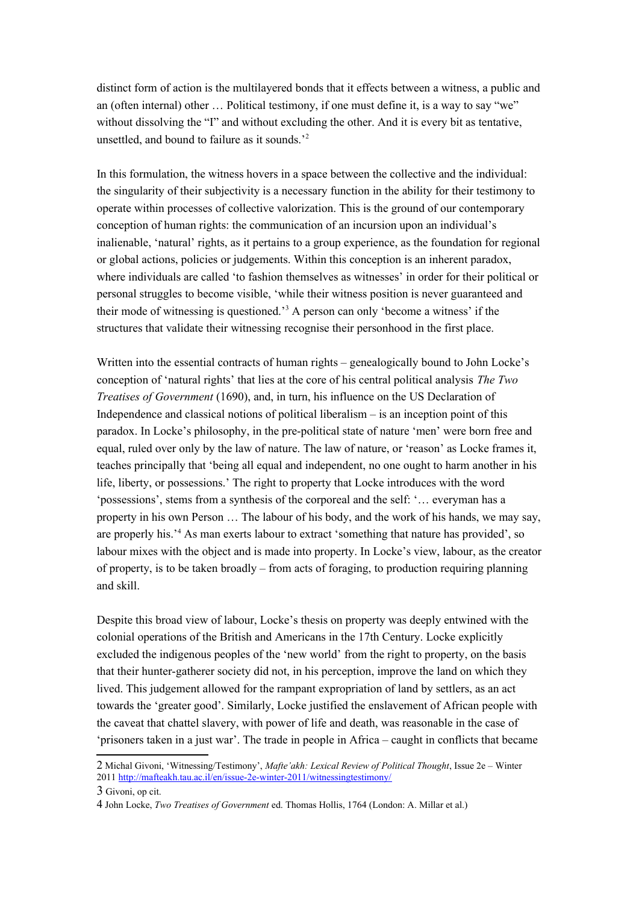distinct form of action is the multilayered bonds that it effects between a witness, a public and an (often internal) other … Political testimony, if one must define it, is a way to say "we" without dissolving the "I" and without excluding the other. And it is every bit as tentative, unsettled, and bound to failure as it sounds.'[2](#page-1-0)

In this formulation, the witness hovers in a space between the collective and the individual: the singularity of their subjectivity is a necessary function in the ability for their testimony to operate within processes of collective valorization. This is the ground of our contemporary conception of human rights: the communication of an incursion upon an individual's inalienable, 'natural' rights, as it pertains to a group experience, as the foundation for regional or global actions, policies or judgements. Within this conception is an inherent paradox, where individuals are called 'to fashion themselves as witnesses' in order for their political or personal struggles to become visible, 'while their witness position is never guaranteed and their mode of witnessing is questioned.<sup>[3](#page-1-1)</sup> A person can only 'become a witness' if the structures that validate their witnessing recognise their personhood in the first place.

Written into the essential contracts of human rights – genealogically bound to John Locke's conception of 'natural rights' that lies at the core of his central political analysis *The Two Treatises of Government* (1690), and, in turn, his influence on the US Declaration of Independence and classical notions of political liberalism – is an inception point of this paradox. In Locke's philosophy, in the pre-political state of nature 'men' were born free and equal, ruled over only by the law of nature. The law of nature, or 'reason' as Locke frames it, teaches principally that 'being all equal and independent, no one ought to harm another in his life, liberty, or possessions.' The right to property that Locke introduces with the word 'possessions', stems from a synthesis of the corporeal and the self: '… everyman has a property in his own Person … The labour of his body, and the work of his hands, we may say, are properly his.<sup>'[4](#page-1-2)</sup> As man exerts labour to extract 'something that nature has provided', so labour mixes with the object and is made into property. In Locke's view, labour, as the creator of property, is to be taken broadly – from acts of foraging, to production requiring planning and skill.

Despite this broad view of labour, Locke's thesis on property was deeply entwined with the colonial operations of the British and Americans in the 17th Century. Locke explicitly excluded the indigenous peoples of the 'new world' from the right to property, on the basis that their hunter-gatherer society did not, in his perception, improve the land on which they lived. This judgement allowed for the rampant expropriation of land by settlers, as an act towards the 'greater good'. Similarly, Locke justified the enslavement of African people with the caveat that chattel slavery, with power of life and death, was reasonable in the case of 'prisoners taken in a just war'. The trade in people in Africa – caught in conflicts that became

<span id="page-1-0"></span><sup>2</sup> Michal Givoni, 'Witnessing/Testimony', *Mafte'akh: Lexical Review of Political Thought*, Issue 2e – Winter 2011<http://mafteakh.tau.ac.il/en/issue-2e-winter-2011/witnessingtestimony/>

<span id="page-1-1"></span><sup>3</sup> Givoni, op cit.

<span id="page-1-2"></span><sup>4</sup> John Locke, *Two Treatises of Government* ed. Thomas Hollis, 1764 (London: A. Millar et al.)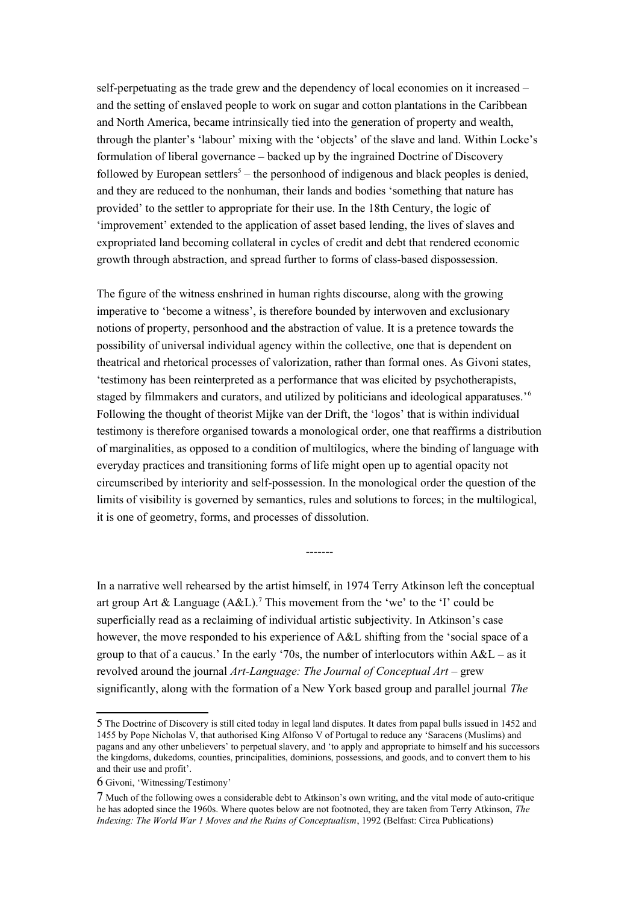self-perpetuating as the trade grew and the dependency of local economies on it increased – and the setting of enslaved people to work on sugar and cotton plantations in the Caribbean and North America, became intrinsically tied into the generation of property and wealth, through the planter's 'labour' mixing with the 'objects' of the slave and land. Within Locke's formulation of liberal governance – backed up by the ingrained Doctrine of Discovery followed by European settlers<sup>[5](#page-2-0)</sup> – the personhood of indigenous and black peoples is denied, and they are reduced to the nonhuman, their lands and bodies 'something that nature has provided' to the settler to appropriate for their use. In the 18th Century, the logic of 'improvement' extended to the application of asset based lending, the lives of slaves and expropriated land becoming collateral in cycles of credit and debt that rendered economic growth through abstraction, and spread further to forms of class-based dispossession.

The figure of the witness enshrined in human rights discourse, along with the growing imperative to 'become a witness', is therefore bounded by interwoven and exclusionary notions of property, personhood and the abstraction of value. It is a pretence towards the possibility of universal individual agency within the collective, one that is dependent on theatrical and rhetorical processes of valorization, rather than formal ones. As Givoni states, 'testimony has been reinterpreted as a performance that was elicited by psychotherapists, staged by filmmakers and curators, and utilized by politicians and ideological apparatuses.<sup>[6](#page-2-1)</sup> Following the thought of theorist Mijke van der Drift, the 'logos' that is within individual testimony is therefore organised towards a monological order, one that reaffirms a distribution of marginalities, as opposed to a condition of multilogics, where the binding of language with everyday practices and transitioning forms of life might open up to agential opacity not circumscribed by interiority and self-possession. In the monological order the question of the limits of visibility is governed by semantics, rules and solutions to forces; in the multilogical, it is one of geometry, forms, and processes of dissolution.

In a narrative well rehearsed by the artist himself, in 1974 Terry Atkinson left the conceptual art group Art & Language  $(A &L)$ .<sup>[7](#page-2-2)</sup> This movement from the 'we' to the 'I' could be superficially read as a reclaiming of individual artistic subjectivity. In Atkinson's case however, the move responded to his experience of A&L shifting from the 'social space of a group to that of a caucus.' In the early '70s, the number of interlocutors within  $A &L - as$  it revolved around the journal *Art-Language: The Journal of Conceptual Art* – grew significantly, along with the formation of a New York based group and parallel journal *The* 

-------

<span id="page-2-0"></span><sup>5</sup> The Doctrine of Discovery is still cited today in legal land disputes. It dates from papal bulls issued in 1452 and 1455 by Pope Nicholas V, that authorised King Alfonso V of Portugal to reduce any 'Saracens (Muslims) and pagans and any other unbelievers' to perpetual slavery, and 'to apply and appropriate to himself and his successors the kingdoms, dukedoms, counties, principalities, dominions, possessions, and goods, and to convert them to his and their use and profit'.

<span id="page-2-1"></span><sup>6</sup> Givoni, 'Witnessing/Testimony'

<span id="page-2-2"></span><sup>7</sup> Much of the following owes a considerable debt to Atkinson's own writing, and the vital mode of auto-critique he has adopted since the 1960s. Where quotes below are not footnoted, they are taken from Terry Atkinson, *The Indexing: The World War 1 Moves and the Ruins of Conceptualism*, 1992 (Belfast: Circa Publications)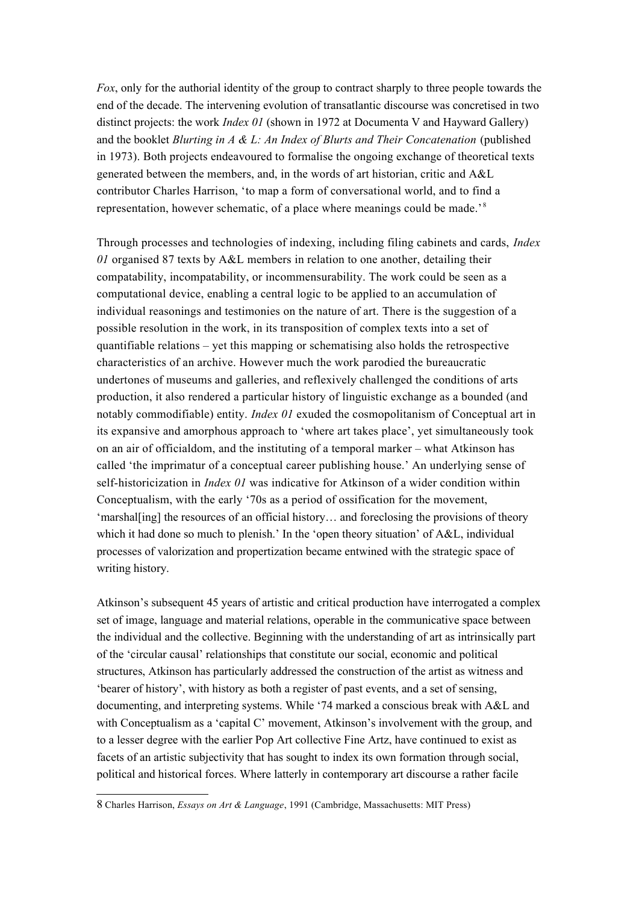*Fox*, only for the authorial identity of the group to contract sharply to three people towards the end of the decade. The intervening evolution of transatlantic discourse was concretised in two distinct projects: the work *Index 01* (shown in 1972 at Documenta V and Hayward Gallery) and the booklet *Blurting in A & L: An Index of Blurts and Their Concatenation* (published in 1973). Both projects endeavoured to formalise the ongoing exchange of theoretical texts generated between the members, and, in the words of art historian, critic and A&L contributor Charles Harrison, 'to map a form of conversational world, and to find a representation, however schematic, of a place where meanings could be made.'<sup>[8](#page-3-0)</sup>

Through processes and technologies of indexing, including filing cabinets and cards, *Index 01* organised 87 texts by A&L members in relation to one another, detailing their compatability, incompatability, or incommensurability. The work could be seen as a computational device, enabling a central logic to be applied to an accumulation of individual reasonings and testimonies on the nature of art. There is the suggestion of a possible resolution in the work, in its transposition of complex texts into a set of quantifiable relations – yet this mapping or schematising also holds the retrospective characteristics of an archive. However much the work parodied the bureaucratic undertones of museums and galleries, and reflexively challenged the conditions of arts production, it also rendered a particular history of linguistic exchange as a bounded (and notably commodifiable) entity. *Index 01* exuded the cosmopolitanism of Conceptual art in its expansive and amorphous approach to 'where art takes place', yet simultaneously took on an air of officialdom, and the instituting of a temporal marker – what Atkinson has called 'the imprimatur of a conceptual career publishing house.' An underlying sense of self-historicization in *Index 01* was indicative for Atkinson of a wider condition within Conceptualism, with the early '70s as a period of ossification for the movement, 'marshal[ing] the resources of an official history… and foreclosing the provisions of theory which it had done so much to plenish.' In the 'open theory situation' of A&L, individual processes of valorization and propertization became entwined with the strategic space of writing history.

Atkinson's subsequent 45 years of artistic and critical production have interrogated a complex set of image, language and material relations, operable in the communicative space between the individual and the collective. Beginning with the understanding of art as intrinsically part of the 'circular causal' relationships that constitute our social, economic and political structures, Atkinson has particularly addressed the construction of the artist as witness and 'bearer of history', with history as both a register of past events, and a set of sensing, documenting, and interpreting systems. While '74 marked a conscious break with A&L and with Conceptualism as a 'capital C' movement, Atkinson's involvement with the group, and to a lesser degree with the earlier Pop Art collective Fine Artz, have continued to exist as facets of an artistic subjectivity that has sought to index its own formation through social, political and historical forces. Where latterly in contemporary art discourse a rather facile

<span id="page-3-0"></span><sup>8</sup> Charles Harrison, *Essays on Art & Language*, 1991 (Cambridge, Massachusetts: MIT Press)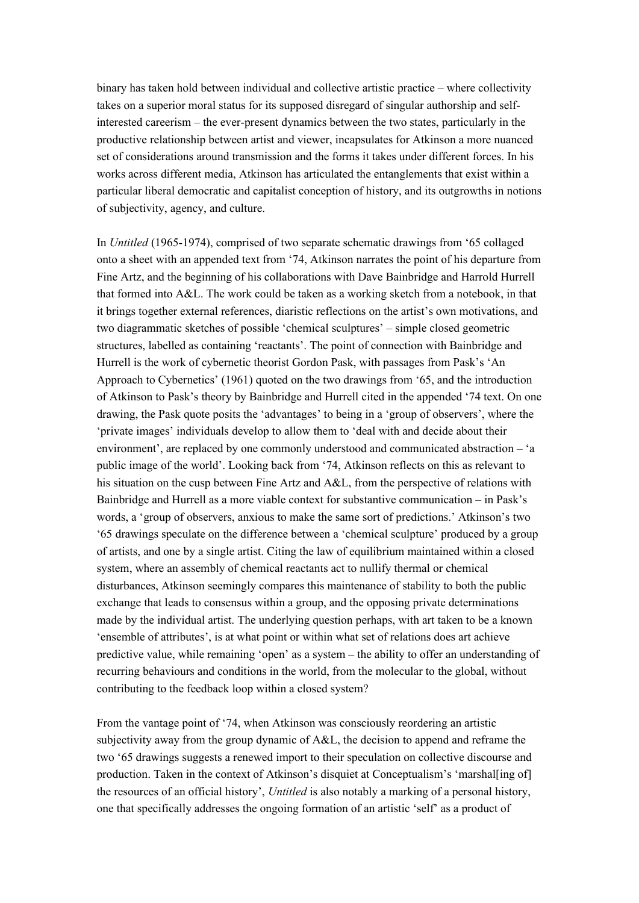binary has taken hold between individual and collective artistic practice – where collectivity takes on a superior moral status for its supposed disregard of singular authorship and selfinterested careerism – the ever-present dynamics between the two states, particularly in the productive relationship between artist and viewer, incapsulates for Atkinson a more nuanced set of considerations around transmission and the forms it takes under different forces. In his works across different media, Atkinson has articulated the entanglements that exist within a particular liberal democratic and capitalist conception of history, and its outgrowths in notions of subjectivity, agency, and culture.

In *Untitled* (1965-1974), comprised of two separate schematic drawings from '65 collaged onto a sheet with an appended text from '74, Atkinson narrates the point of his departure from Fine Artz, and the beginning of his collaborations with Dave Bainbridge and Harrold Hurrell that formed into A&L. The work could be taken as a working sketch from a notebook, in that it brings together external references, diaristic reflections on the artist's own motivations, and two diagrammatic sketches of possible 'chemical sculptures' – simple closed geometric structures, labelled as containing 'reactants'. The point of connection with Bainbridge and Hurrell is the work of cybernetic theorist Gordon Pask, with passages from Pask's 'An Approach to Cybernetics' (1961) quoted on the two drawings from '65, and the introduction of Atkinson to Pask's theory by Bainbridge and Hurrell cited in the appended '74 text. On one drawing, the Pask quote posits the 'advantages' to being in a 'group of observers', where the 'private images' individuals develop to allow them to 'deal with and decide about their environment', are replaced by one commonly understood and communicated abstraction – 'a public image of the world'. Looking back from '74, Atkinson reflects on this as relevant to his situation on the cusp between Fine Artz and A&L, from the perspective of relations with Bainbridge and Hurrell as a more viable context for substantive communication – in Pask's words, a 'group of observers, anxious to make the same sort of predictions.' Atkinson's two '65 drawings speculate on the difference between a 'chemical sculpture' produced by a group of artists, and one by a single artist. Citing the law of equilibrium maintained within a closed system, where an assembly of chemical reactants act to nullify thermal or chemical disturbances, Atkinson seemingly compares this maintenance of stability to both the public exchange that leads to consensus within a group, and the opposing private determinations made by the individual artist. The underlying question perhaps, with art taken to be a known 'ensemble of attributes', is at what point or within what set of relations does art achieve predictive value, while remaining 'open' as a system – the ability to offer an understanding of recurring behaviours and conditions in the world, from the molecular to the global, without contributing to the feedback loop within a closed system?

From the vantage point of '74, when Atkinson was consciously reordering an artistic subjectivity away from the group dynamic of A&L, the decision to append and reframe the two '65 drawings suggests a renewed import to their speculation on collective discourse and production. Taken in the context of Atkinson's disquiet at Conceptualism's 'marshal[ing of] the resources of an official history', *Untitled* is also notably a marking of a personal history, one that specifically addresses the ongoing formation of an artistic 'self' as a product of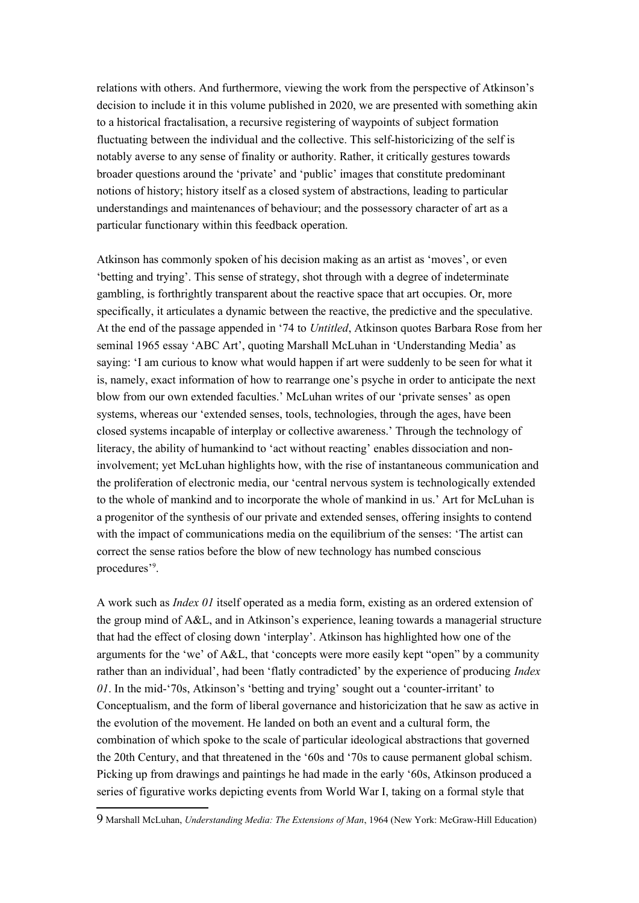relations with others. And furthermore, viewing the work from the perspective of Atkinson's decision to include it in this volume published in 2020, we are presented with something akin to a historical fractalisation, a recursive registering of waypoints of subject formation fluctuating between the individual and the collective. This self-historicizing of the self is notably averse to any sense of finality or authority. Rather, it critically gestures towards broader questions around the 'private' and 'public' images that constitute predominant notions of history; history itself as a closed system of abstractions, leading to particular understandings and maintenances of behaviour; and the possessory character of art as a particular functionary within this feedback operation.

Atkinson has commonly spoken of his decision making as an artist as 'moves', or even 'betting and trying'. This sense of strategy, shot through with a degree of indeterminate gambling, is forthrightly transparent about the reactive space that art occupies. Or, more specifically, it articulates a dynamic between the reactive, the predictive and the speculative. At the end of the passage appended in '74 to *Untitled*, Atkinson quotes Barbara Rose from her seminal 1965 essay 'ABC Art', quoting Marshall McLuhan in 'Understanding Media' as saying: 'I am curious to know what would happen if art were suddenly to be seen for what it is, namely, exact information of how to rearrange one's psyche in order to anticipate the next blow from our own extended faculties.' McLuhan writes of our 'private senses' as open systems, whereas our 'extended senses, tools, technologies, through the ages, have been closed systems incapable of interplay or collective awareness.' Through the technology of literacy, the ability of humankind to 'act without reacting' enables dissociation and noninvolvement; yet McLuhan highlights how, with the rise of instantaneous communication and the proliferation of electronic media, our 'central nervous system is technologically extended to the whole of mankind and to incorporate the whole of mankind in us.' Art for McLuhan is a progenitor of the synthesis of our private and extended senses, offering insights to contend with the impact of communications media on the equilibrium of the senses: 'The artist can correct the sense ratios before the blow of new technology has numbed conscious procedures'[9](#page-5-0) .

A work such as *Index 01* itself operated as a media form, existing as an ordered extension of the group mind of A&L, and in Atkinson's experience, leaning towards a managerial structure that had the effect of closing down 'interplay'. Atkinson has highlighted how one of the arguments for the 'we' of A&L, that 'concepts were more easily kept "open" by a community rather than an individual', had been 'flatly contradicted' by the experience of producing *Index 01*. In the mid-'70s, Atkinson's 'betting and trying' sought out a 'counter-irritant' to Conceptualism, and the form of liberal governance and historicization that he saw as active in the evolution of the movement. He landed on both an event and a cultural form, the combination of which spoke to the scale of particular ideological abstractions that governed the 20th Century, and that threatened in the '60s and '70s to cause permanent global schism. Picking up from drawings and paintings he had made in the early '60s, Atkinson produced a series of figurative works depicting events from World War I, taking on a formal style that

<span id="page-5-0"></span><sup>9</sup> Marshall McLuhan, *Understanding Media: The Extensions of Man*, 1964 (New York: McGraw-Hill Education)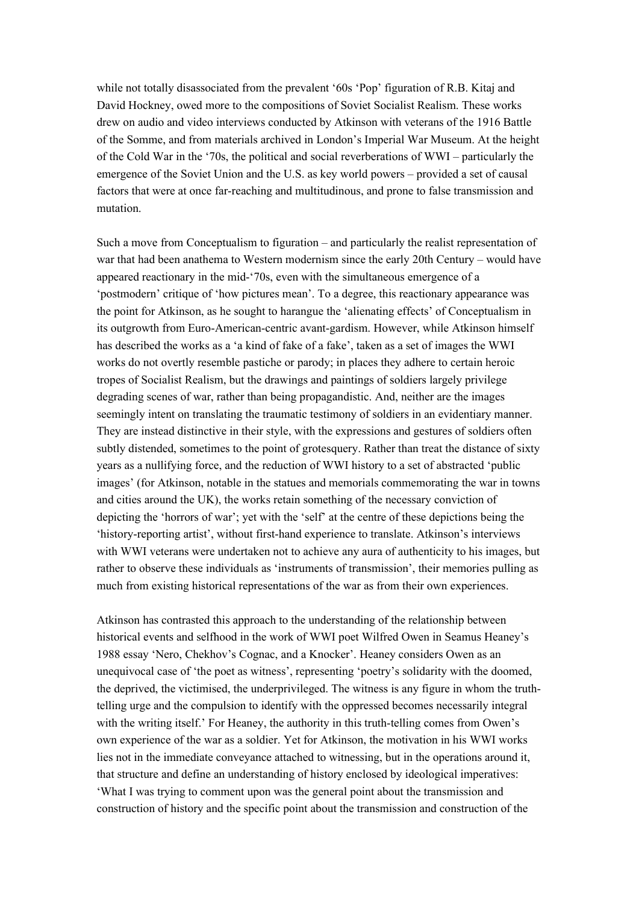while not totally disassociated from the prevalent '60s 'Pop' figuration of R.B. Kitaj and David Hockney, owed more to the compositions of Soviet Socialist Realism. These works drew on audio and video interviews conducted by Atkinson with veterans of the 1916 Battle of the Somme, and from materials archived in London's Imperial War Museum. At the height of the Cold War in the '70s, the political and social reverberations of WWI – particularly the emergence of the Soviet Union and the U.S. as key world powers – provided a set of causal factors that were at once far-reaching and multitudinous, and prone to false transmission and mutation.

Such a move from Conceptualism to figuration – and particularly the realist representation of war that had been anathema to Western modernism since the early 20th Century – would have appeared reactionary in the mid-'70s, even with the simultaneous emergence of a 'postmodern' critique of 'how pictures mean'. To a degree, this reactionary appearance was the point for Atkinson, as he sought to harangue the 'alienating effects' of Conceptualism in its outgrowth from Euro-American-centric avant-gardism. However, while Atkinson himself has described the works as a 'a kind of fake of a fake', taken as a set of images the WWI works do not overtly resemble pastiche or parody; in places they adhere to certain heroic tropes of Socialist Realism, but the drawings and paintings of soldiers largely privilege degrading scenes of war, rather than being propagandistic. And, neither are the images seemingly intent on translating the traumatic testimony of soldiers in an evidentiary manner. They are instead distinctive in their style, with the expressions and gestures of soldiers often subtly distended, sometimes to the point of grotesquery. Rather than treat the distance of sixty years as a nullifying force, and the reduction of WWI history to a set of abstracted 'public images' (for Atkinson, notable in the statues and memorials commemorating the war in towns and cities around the UK), the works retain something of the necessary conviction of depicting the 'horrors of war'; yet with the 'self' at the centre of these depictions being the 'history-reporting artist', without first-hand experience to translate. Atkinson's interviews with WWI veterans were undertaken not to achieve any aura of authenticity to his images, but rather to observe these individuals as 'instruments of transmission', their memories pulling as much from existing historical representations of the war as from their own experiences.

Atkinson has contrasted this approach to the understanding of the relationship between historical events and selfhood in the work of WWI poet Wilfred Owen in Seamus Heaney's 1988 essay 'Nero, Chekhov's Cognac, and a Knocker'. Heaney considers Owen as an unequivocal case of 'the poet as witness', representing 'poetry's solidarity with the doomed, the deprived, the victimised, the underprivileged. The witness is any figure in whom the truthtelling urge and the compulsion to identify with the oppressed becomes necessarily integral with the writing itself.' For Heaney, the authority in this truth-telling comes from Owen's own experience of the war as a soldier. Yet for Atkinson, the motivation in his WWI works lies not in the immediate conveyance attached to witnessing, but in the operations around it, that structure and define an understanding of history enclosed by ideological imperatives: 'What I was trying to comment upon was the general point about the transmission and construction of history and the specific point about the transmission and construction of the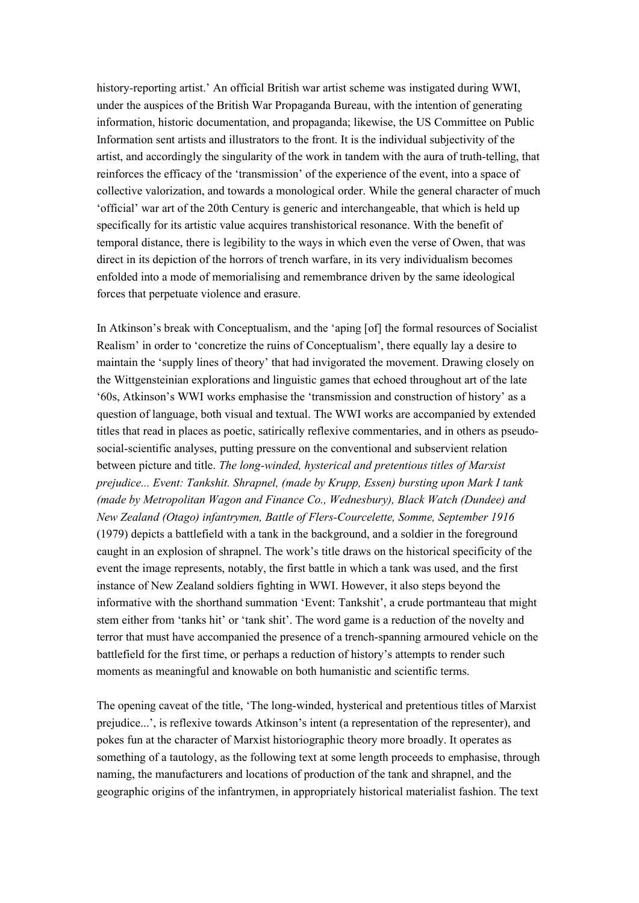history-reporting artist.' An official British war artist scheme was instigated during WWI, under the auspices of the British War Propaganda Bureau, with the intention of generating information, historic documentation, and propaganda; likewise, the US Committee on Public Information sent artists and illustrators to the front. It is the individual subjectivity of the artist, and accordingly the singularity of the work in tandem with the aura of truth-telling, that reinforces the efficacy of the 'transmission' of the experience of the event, into a space of collective valorization, and towards a monological order. While the general character of much 'official' war art of the 20th Century is generic and interchangeable, that which is held up specifically for its artistic value acquires transhistorical resonance. With the benefit of temporal distance, there is legibility to the ways in which even the verse of Owen, that was direct in its depiction of the horrors of trench warfare, in its very individualism becomes enfolded into a mode of memorialising and remembrance driven by the same ideological forces that perpetuate violence and erasure.

In Atkinson's break with Conceptualism, and the 'aping [of] the formal resources of Socialist Realism' in order to 'concretize the ruins of Conceptualism', there equally lay a desire to maintain the 'supply lines of theory' that had invigorated the movement. Drawing closely on the Wittgensteinian explorations and linguistic games that echoed throughout art of the late '60s, Atkinson's WWI works emphasise the 'transmission and construction of history' as a question of language, both visual and textual. The WWI works are accompanied by extended titles that read in places as poetic, satirically reflexive commentaries, and in others as pseudosocial-scientific analyses, putting pressure on the conventional and subservient relation between picture and title. *The long-winded, hysterical and pretentious titles of Marxist prejudice... Event: Tankshit. Shrapnel, (made by Krupp, Essen) bursting upon Mark I tank (made by Metropolitan Wagon and Finance Co., Wednesbury), Black Watch (Dundee) and New Zealand (Otago) infantrymen, Battle of Flers-Courcelette, Somme, September 1916*  (1979) depicts a battlefield with a tank in the background, and a soldier in the foreground caught in an explosion of shrapnel. The work's title draws on the historical specificity of the event the image represents, notably, the first battle in which a tank was used, and the first instance of New Zealand soldiers fighting in WWI. However, it also steps beyond the informative with the shorthand summation 'Event: Tankshit', a crude portmanteau that might stem either from 'tanks hit' or 'tank shit'. The word game is a reduction of the novelty and terror that must have accompanied the presence of a trench-spanning armoured vehicle on the battlefield for the first time, or perhaps a reduction of history's attempts to render such moments as meaningful and knowable on both humanistic and scientific terms.

The opening caveat of the title, 'The long-winded, hysterical and pretentious titles of Marxist prejudice...', is reflexive towards Atkinson's intent (a representation of the representer), and pokes fun at the character of Marxist historiographic theory more broadly. It operates as something of a tautology, as the following text at some length proceeds to emphasise, through naming, the manufacturers and locations of production of the tank and shrapnel, and the geographic origins of the infantrymen, in appropriately historical materialist fashion. The text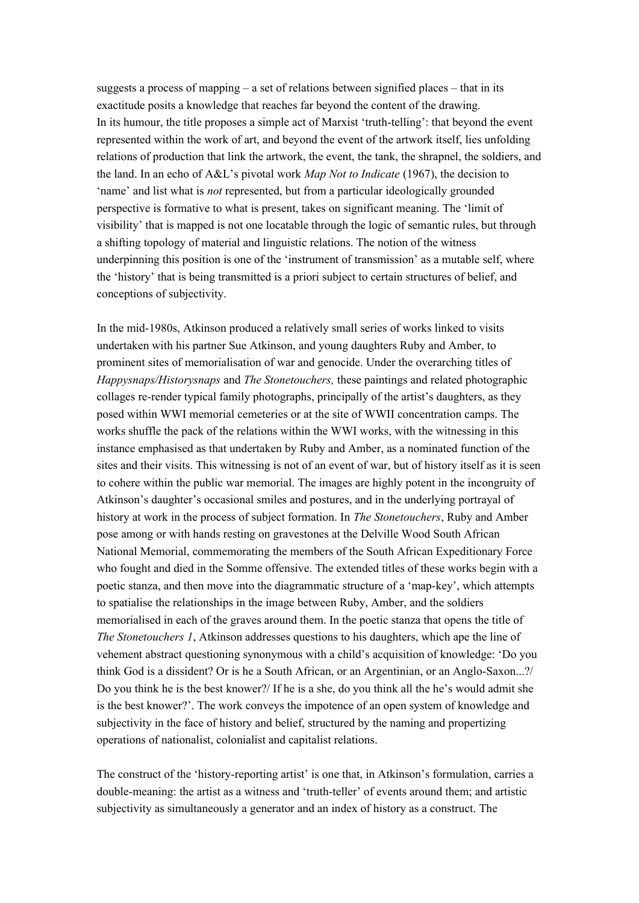suggests a process of mapping – a set of relations between signified places – that in its exactitude posits a knowledge that reaches far beyond the content of the drawing. In its humour, the title proposes a simple act of Marxist 'truth-telling': that beyond the event represented within the work of art, and beyond the event of the artwork itself, lies unfolding relations of production that link the artwork, the event, the tank, the shrapnel, the soldiers, and the land. In an echo of A&L's pivotal work *Map Not to Indicate* (1967), the decision to 'name' and list what is *not* represented, but from a particular ideologically grounded perspective is formative to what is present, takes on significant meaning. The 'limit of visibility' that is mapped is not one locatable through the logic of semantic rules, but through a shifting topology of material and linguistic relations. The notion of the witness underpinning this position is one of the 'instrument of transmission' as a mutable self, where the 'history' that is being transmitted is a priori subject to certain structures of belief, and conceptions of subjectivity.

In the mid-1980s, Atkinson produced a relatively small series of works linked to visits undertaken with his partner Sue Atkinson, and young daughters Ruby and Amber, to prominent sites of memorialisation of war and genocide. Under the overarching titles of *Happysnaps/Historysnaps* and *The Stonetouchers,* these paintings and related photographic collages re-render typical family photographs, principally of the artist's daughters, as they posed within WWI memorial cemeteries or at the site of WWII concentration camps. The works shuffle the pack of the relations within the WWI works, with the witnessing in this instance emphasised as that undertaken by Ruby and Amber, as a nominated function of the sites and their visits. This witnessing is not of an event of war, but of history itself as it is seen to cohere within the public war memorial. The images are highly potent in the incongruity of Atkinson's daughter's occasional smiles and postures, and in the underlying portrayal of history at work in the process of subject formation. In *The Stonetouchers*, Ruby and Amber pose among or with hands resting on gravestones at the Delville Wood South African National Memorial, commemorating the members of the South African Expeditionary Force who fought and died in the Somme offensive. The extended titles of these works begin with a poetic stanza, and then move into the diagrammatic structure of a 'map-key', which attempts to spatialise the relationships in the image between Ruby, Amber, and the soldiers memorialised in each of the graves around them. In the poetic stanza that opens the title of *The Stonetouchers 1*, Atkinson addresses questions to his daughters, which ape the line of vehement abstract questioning synonymous with a child's acquisition of knowledge: 'Do you think God is a dissident? Or is he a South African, or an Argentinian, or an Anglo-Saxon...?/ Do you think he is the best knower?/ If he is a she, do you think all the he's would admit she is the best knower?'. The work conveys the impotence of an open system of knowledge and subjectivity in the face of history and belief, structured by the naming and propertizing operations of nationalist, colonialist and capitalist relations.

The construct of the 'history-reporting artist' is one that, in Atkinson's formulation, carries a double-meaning: the artist as a witness and 'truth-teller' of events around them; and artistic subjectivity as simultaneously a generator and an index of history as a construct. The